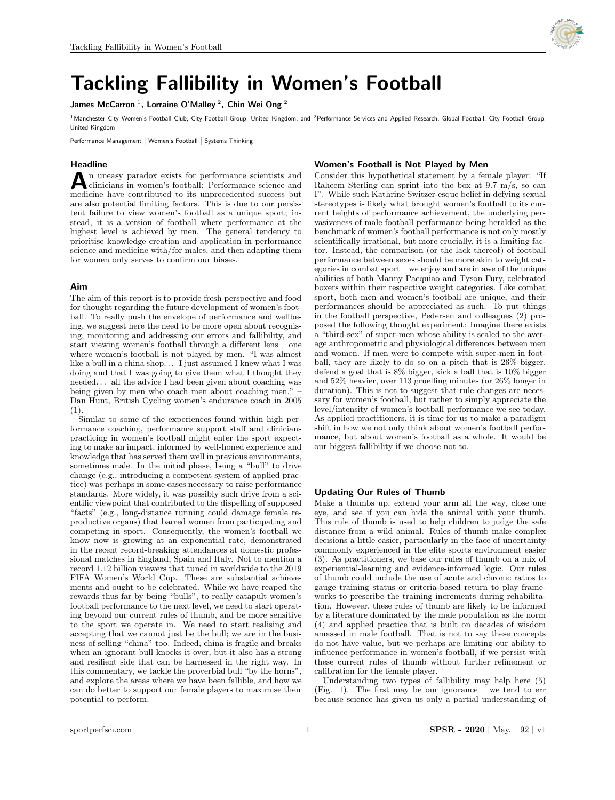

# Tackling Fallibility in Women's Football

James McCarron<sup>1</sup>, Lorraine O'Malley<sup>2</sup>, Chin Wei Ong<sup>2</sup>

<sup>1</sup>Manchester City Women's Football Club, City Football Group, United Kingdom, and <sup>2</sup>Performance Services and Applied Research, Global Football, City Football Group, United Kingdom

Performance Management | Women's Football | Systems Thinking

## Headline

A n uneasy paradox exists for performance scientists and<br>clinicians in women's football: Performance science and<br>modising have contributed to its unprecedented success but n uneasy paradox exists for performance scientists and medicine have contributed to its unprecedented success but are also potential limiting factors. This is due to our persistent failure to view women's football as a unique sport; instead, it is a version of football where performance at the highest level is achieved by men. The general tendency to prioritise knowledge creation and application in performance science and medicine with/for males, and then adapting them for women only serves to confirm our biases.

## Aim

The aim of this report is to provide fresh perspective and food for thought regarding the future development of women's football. To really push the envelope of performance and wellbeing, we suggest here the need to be more open about recognising, monitoring and addressing our errors and fallibility, and start viewing women's football through a different lens – one where women's football is not played by men. "I was almost like a bull in a china shop. . . I just assumed I knew what I was doing and that I was going to give them what I thought they needed. . . all the advice I had been given about coaching was being given by men who coach men about coaching men." – Dan Hunt, British Cycling women's endurance coach in 2005 (1).

Similar to some of the experiences found within high performance coaching, performance support staff and clinicians practicing in women's football might enter the sport expecting to make an impact, informed by well-honed experience and knowledge that has served them well in previous environments, sometimes male. In the initial phase, being a "bull" to drive change (e.g., introducing a competent system of applied practice) was perhaps in some cases necessary to raise performance standards. More widely, it was possibly such drive from a scientific viewpoint that contributed to the dispelling of supposed "facts" (e.g., long-distance running could damage female reproductive organs) that barred women from participating and competing in sport. Consequently, the women's football we know now is growing at an exponential rate, demonstrated in the recent record-breaking attendances at domestic professional matches in England, Spain and Italy. Not to mention a record 1.12 billion viewers that tuned in worldwide to the 2019 FIFA Women's World Cup. These are substantial achievements and ought to be celebrated. While we have reaped the rewards thus far by being "bulls", to really catapult women's football performance to the next level, we need to start operating beyond our current rules of thumb, and be more sensitive to the sport we operate in. We need to start realising and accepting that we cannot just be the bull; we are in the business of selling "china" too. Indeed, china is fragile and breaks when an ignorant bull knocks it over, but it also has a strong and resilient side that can be harnessed in the right way. In this commentary, we tackle the proverbial bull "by the horns", and explore the areas where we have been fallible, and how we can do better to support our female players to maximise their potential to perform.

## Women's Football is Not Played by Men

Consider this hypothetical statement by a female player: "If Raheem Sterling can sprint into the box at 9.7 m/s, so can I". While such Kathrine Switzer-esque belief in defying sexual stereotypes is likely what brought women's football to its current heights of performance achievement, the underlying pervasiveness of male football performance being heralded as the benchmark of women's football performance is not only mostly scientifically irrational, but more crucially, it is a limiting factor. Instead, the comparison (or the lack thereof) of football performance between sexes should be more akin to weight categories in combat sport – we enjoy and are in awe of the unique abilities of both Manny Pacquiao and Tyson Fury, celebrated boxers within their respective weight categories. Like combat sport, both men and women's football are unique, and their performances should be appreciated as such. To put things in the football perspective, Pedersen and colleagues (2) proposed the following thought experiment: Imagine there exists a "third-sex" of super-men whose ability is scaled to the average anthropometric and physiological differences between men and women. If men were to compete with super-men in football, they are likely to do so on a pitch that is 26% bigger, defend a goal that is 8% bigger, kick a ball that is 10% bigger and 52% heavier, over 113 gruelling minutes (or 26% longer in duration). This is not to suggest that rule changes are necessary for women's football, but rather to simply appreciate the level/intensity of women's football performance we see today. As applied practitioners, it is time for us to make a paradigm shift in how we not only think about women's football performance, but about women's football as a whole. It would be our biggest fallibility if we choose not to.

### Updating Our Rules of Thumb

Make a thumbs up, extend your arm all the way, close one eye, and see if you can hide the animal with your thumb. This rule of thumb is used to help children to judge the safe distance from a wild animal. Rules of thumb make complex decisions a little easier, particularly in the face of uncertainty commonly experienced in the elite sports environment easier (3). As practitioners, we base our rules of thumb on a mix of experiential-learning and evidence-informed logic. Our rules of thumb could include the use of acute and chronic ratios to gauge training status or criteria-based return to play frameworks to prescribe the training increments during rehabilitation. However, these rules of thumb are likely to be informed by a literature dominated by the male population as the norm (4) and applied practice that is built on decades of wisdom amassed in male football. That is not to say these concepts do not have value, but we perhaps are limiting our ability to influence performance in women's football, if we persist with these current rules of thumb without further refinement or calibration for the female player.

Understanding two types of fallibility may help here (5) (Fig. 1). The first may be our ignorance – we tend to err because science has given us only a partial understanding of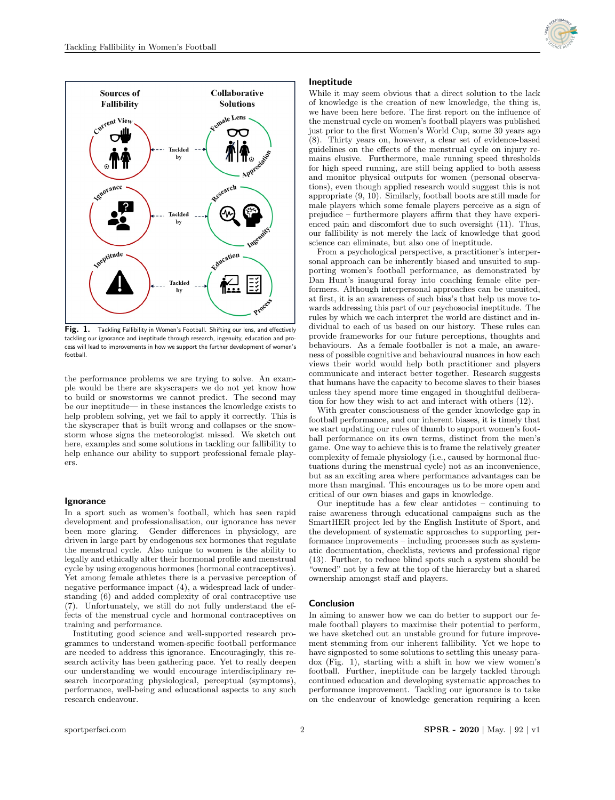



Fig. 1. Tackling Fallibility in Women's Football. Shifting our lens, and effectively tackling our ignorance and ineptitude through research, ingenuity, education and process will lead to improvements in how we support the further development of women's football.

the performance problems we are trying to solve. An example would be there are skyscrapers we do not yet know how to build or snowstorms we cannot predict. The second may be our ineptitude— in these instances the knowledge exists to help problem solving, yet we fail to apply it correctly. This is the skyscraper that is built wrong and collapses or the snowstorm whose signs the meteorologist missed. We sketch out here, examples and some solutions in tackling our fallibility to help enhance our ability to support professional female players.

#### **Ignorance**

In a sport such as women's football, which has seen rapid development and professionalisation, our ignorance has never been more glaring. Gender differences in physiology, are driven in large part by endogenous sex hormones that regulate the menstrual cycle. Also unique to women is the ability to legally and ethically alter their hormonal profile and menstrual cycle by using exogenous hormones (hormonal contraceptives). Yet among female athletes there is a pervasive perception of negative performance impact (4), a widespread lack of understanding (6) and added complexity of oral contraceptive use (7). Unfortunately, we still do not fully understand the effects of the menstrual cycle and hormonal contraceptives on training and performance.

Instituting good science and well-supported research programmes to understand women-specific football performance are needed to address this ignorance. Encouragingly, this research activity has been gathering pace. Yet to really deepen our understanding we would encourage interdisciplinary research incorporating physiological, perceptual (symptoms), performance, well-being and educational aspects to any such research endeavour.

#### Ineptitude

While it may seem obvious that a direct solution to the lack of knowledge is the creation of new knowledge, the thing is, we have been here before. The first report on the influence of the menstrual cycle on women's football players was published just prior to the first Women's World Cup, some 30 years ago (8). Thirty years on, however, a clear set of evidence-based guidelines on the effects of the menstrual cycle on injury remains elusive. Furthermore, male running speed thresholds for high speed running, are still being applied to both assess and monitor physical outputs for women (personal observations), even though applied research would suggest this is not appropriate (9, 10). Similarly, football boots are still made for male players which some female players perceive as a sign of prejudice – furthermore players affirm that they have experienced pain and discomfort due to such oversight (11). Thus, our fallibility is not merely the lack of knowledge that good science can eliminate, but also one of ineptitude.

From a psychological perspective, a practitioner's interpersonal approach can be inherently biased and unsuited to supporting women's football performance, as demonstrated by Dan Hunt's inaugural foray into coaching female elite performers. Although interpersonal approaches can be unsuited, at first, it is an awareness of such bias's that help us move towards addressing this part of our psychosocial ineptitude. The rules by which we each interpret the world are distinct and individual to each of us based on our history. These rules can provide frameworks for our future perceptions, thoughts and behaviours. As a female footballer is not a male, an awareness of possible cognitive and behavioural nuances in how each views their world would help both practitioner and players communicate and interact better together. Research suggests that humans have the capacity to become slaves to their biases unless they spend more time engaged in thoughtful deliberation for how they wish to act and interact with others (12).

With greater consciousness of the gender knowledge gap in football performance, and our inherent biases, it is timely that we start updating our rules of thumb to support women's football performance on its own terms, distinct from the men's game. One way to achieve this is to frame the relatively greater complexity of female physiology (i.e., caused by hormonal fluctuations during the menstrual cycle) not as an inconvenience, but as an exciting area where performance advantages can be more than marginal. This encourages us to be more open and critical of our own biases and gaps in knowledge.

Our ineptitude has a few clear antidotes – continuing to raise awareness through educational campaigns such as the SmartHER project led by the English Institute of Sport, and the development of systematic approaches to supporting performance improvements – including processes such as systematic documentation, checklists, reviews and professional rigor (13). Further, to reduce blind spots such a system should be "owned" not by a few at the top of the hierarchy but a shared ownership amongst staff and players.

### **Conclusion**

In aiming to answer how we can do better to support our female football players to maximise their potential to perform, we have sketched out an unstable ground for future improvement stemming from our inherent fallibility. Yet we hope to have signposted to some solutions to settling this uneasy paradox (Fig. 1), starting with a shift in how we view women's football. Further, ineptitude can be largely tackled through continued education and developing systematic approaches to performance improvement. Tackling our ignorance is to take on the endeavour of knowledge generation requiring a keen